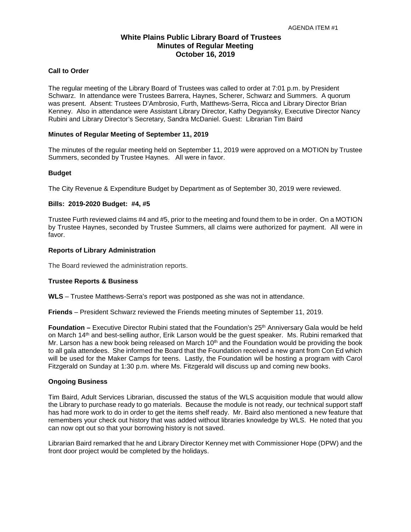# **White Plains Public Library Board of Trustees Minutes of Regular Meeting October 16, 2019**

### **Call to Order**

The regular meeting of the Library Board of Trustees was called to order at 7:01 p.m. by President Schwarz. In attendance were Trustees Barrera, Haynes, Scherer, Schwarz and Summers. A quorum was present. Absent: Trustees D'Ambrosio, Furth, Matthews-Serra, Ricca and Library Director Brian Kenney. Also in attendance were Assistant Library Director, Kathy Degyansky, Executive Director Nancy Rubini and Library Director's Secretary, Sandra McDaniel. Guest: Librarian Tim Baird

### **Minutes of Regular Meeting of September 11, 2019**

The minutes of the regular meeting held on September 11, 2019 were approved on a MOTION by Trustee Summers, seconded by Trustee Haynes. All were in favor.

# **Budget**

The City Revenue & Expenditure Budget by Department as of September 30, 2019 were reviewed.

# **Bills: 2019-2020 Budget: #4, #5**

Trustee Furth reviewed claims #4 and #5, prior to the meeting and found them to be in order. On a MOTION by Trustee Haynes, seconded by Trustee Summers, all claims were authorized for payment. All were in favor.

# **Reports of Library Administration**

The Board reviewed the administration reports.

# **Trustee Reports & Business**

**WLS** – Trustee Matthews-Serra's report was postponed as she was not in attendance.

**Friends** – President Schwarz reviewed the Friends meeting minutes of September 11, 2019.

**Foundation** – Executive Director Rubini stated that the Foundation's 25<sup>th</sup> Anniversary Gala would be held on March 14th and best-selling author, Erik Larson would be the guest speaker. Ms. Rubini remarked that Mr. Larson has a new book being released on March  $10<sup>th</sup>$  and the Foundation would be providing the book to all gala attendees. She informed the Board that the Foundation received a new grant from Con Ed which will be used for the Maker Camps for teens. Lastly, the Foundation will be hosting a program with Carol Fitzgerald on Sunday at 1:30 p.m. where Ms. Fitzgerald will discuss up and coming new books.

#### **Ongoing Business**

Tim Baird, Adult Services Librarian, discussed the status of the WLS acquisition module that would allow the Library to purchase ready to go materials. Because the module is not ready, our technical support staff has had more work to do in order to get the items shelf ready. Mr. Baird also mentioned a new feature that remembers your check out history that was added without libraries knowledge by WLS. He noted that you can now opt out so that your borrowing history is not saved.

Librarian Baird remarked that he and Library Director Kenney met with Commissioner Hope (DPW) and the front door project would be completed by the holidays.